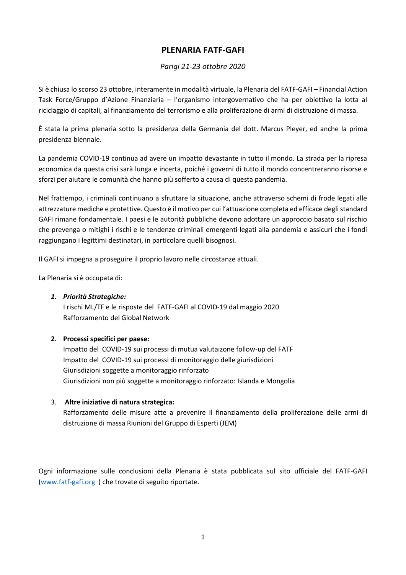## **PLENARIA FATF-GAFI**

#### *Parigi 21-23 ottobre 2020*

Si è chiusa lo scorso 23 ottobre, interamente in modalità virtuale, la Plenaria del FATF-GAFI – Financial Action Task Force/Gruppo d'Azione Finanziaria – l'organismo intergovernativo che ha per obiettivo la lotta al riciclaggio di capitali, al finanziamento del terrorismo e alla proliferazione di armi di distruzione di massa.

È stata la prima plenaria sotto la presidenza della Germania del dott. Marcus Pleyer, ed anche la prima presidenza biennale.

La pandemia COVID-19 continua ad avere un impatto devastante in tutto il mondo. La strada per la ripresa economica da questa crisi sarà lunga e incerta, poiché i governi di tutto il mondo concentreranno risorse e sforzi per aiutare le comunità che hanno più sofferto a causa di questa pandemia.

Nel frattempo, i criminali continuano a sfruttare la situazione, anche attraverso schemi di frode legati alle attrezzature mediche e protettive. Questo è il motivo per cui l'attuazione completa ed efficace degli standard GAFI rimane fondamentale. I paesi e le autorità pubbliche devono adottare un approccio basato sul rischio che prevenga o mitighi i rischi e le tendenze criminali emergenti legati alla pandemia e assicuri che i fondi raggiungano i legittimi destinatari, in particolare quelli bisognosi.

Il GAFI si impegna a proseguire il proprio lavoro nelle circostanze attuali.

La Plenaria si è occupata di:

#### *1. Priorità Strategiche:*

I rischi ML/TF e le risposte del FATF-GAFI al COVID-19 dal maggio 2020 Rafforzamento del Global Network

#### **2. Processi specifici per paese:**

Impatto del COVID-19 sui processi di mutua valutaizone follow-up del FATF Impatto del COVID-19 sui processi di monitoraggio delle giurisdizioni Giurisdizioni soggette a monitoraggio rinforzato Giurisdizioni non più soggette a monitoraggio rinforzato: Islanda e Mongolia

#### 3. **Altre iniziative di natura strategica:**

Rafforzamento delle misure atte a prevenire il finanziamento della proliferazione delle armi di distruzione di massa Riunioni del Gruppo di Esperti (JEM)

Ogni informazione sulle conclusioni della Plenaria è stata pubblicata sul sito ufficiale del FATF-GAFI [\(www.fatf-gafi.org](http://www.fatf-gafi.org/) ) che trovate di seguito riportate.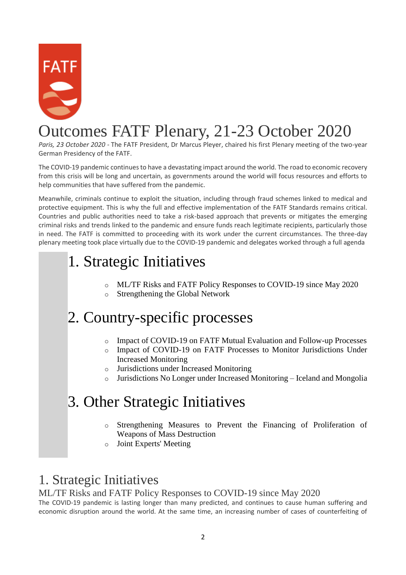

# Outcomes FATF Plenary, 21-23 October 2020

*Paris, 23 October 2020 -* The FATF President, Dr Marcus Pleyer, chaired his first Plenary meeting of the two-year German Presidency of the FATF.

The COVID-19 pandemic continues to have a devastating impact around the world. The road to economic recovery from this crisis will be long and uncertain, as governments around the world will focus resources and efforts to help communities that have suffered from the pandemic.

Meanwhile, criminals continue to exploit the situation, including through fraud schemes linked to medical and protective equipment. This is why the full and effective implementation of the FATF Standards remains critical. Countries and public authorities need to take a risk-based approach that prevents or mitigates the emerging criminal risks and trends linked to the pandemic and ensure funds reach legitimate recipients, particularly those in need. The FATF is committed to proceeding with its work under the current circumstances. The three-day plenary meeting took place virtually due to the COVID-19 pandemic and delegates worked through a full agenda

# 1. Strategic Initiatives

- o ML/TF Risks and FATF Policy Responses to COVID-19 since May 2020
- o Strengthening the Global Network

# 2. Country-specific processes

- o Impact of COVID-19 on FATF Mutual Evaluation and Follow-up Processes
- o Impact of COVID-19 on FATF Processes to Monitor Jurisdictions Under Increased Monitoring
- o Jurisdictions under Increased Monitoring
- o Jurisdictions No Longer under Increased Monitoring Iceland and Mongolia

## 3. Other Strategic Initiatives

- Strengthening Measures to Prevent the Financing of Proliferation of Weapons of Mass Destruction
- o Joint Experts' Meeting

## 1. Strategic Initiatives

## ML/TF Risks and FATF Policy Responses to COVID-19 since May 2020

The COVID-19 pandemic is lasting longer than many predicted, and continues to cause human suffering and economic disruption around the world. At the same time, an increasing number of cases of counterfeiting of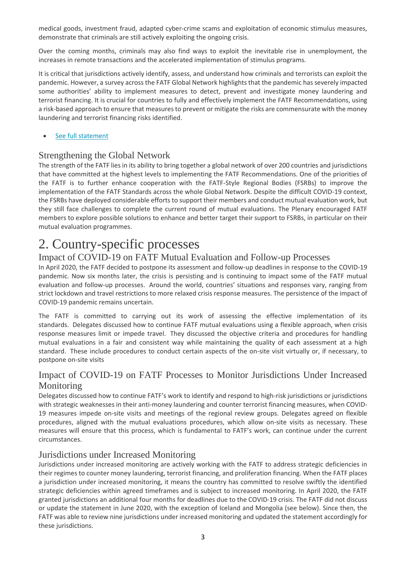medical goods, investment fraud, adapted cyber-crime scams and exploitation of economic stimulus measures, demonstrate that criminals are still actively exploiting the ongoing crisis.

Over the coming months, criminals may also find ways to exploit the inevitable rise in unemployment, the increases in remote transactions and the accelerated implementation of stimulus programs.

It is critical that jurisdictions actively identify, assess, and understand how criminals and terrorists can exploit the pandemic. However, a survey across the FATF Global Network highlights that the pandemic has severely impacted some authorities' ability to implement measures to detect, prevent and investigate money laundering and terrorist financing. It is crucial for countries to fully and effectively implement the FATF Recommendations, using a risk-based approach to ensure that measures to prevent or mitigate the risks are commensurate with the money laundering and terrorist financing risks identified.

#### [See full statement](http://www.fatf-gafi.org/publications/fatfgeneral/documents/covid-19-impact-oct-2020.html)

### Strengthening the Global Network

The strength of the FATF lies in its ability to bring together a global network of over 200 countries and jurisdictions that have committed at the highest levels to implementing the FATF Recommendations. One of the priorities of the FATF is to further enhance cooperation with the FATF-Style Regional Bodies (FSRBs) to improve the implementation of the FATF Standards across the whole Global Network. Despite the difficult COVID-19 context, the FSRBs have deployed considerable efforts to support their members and conduct mutual evaluation work, but they still face challenges to complete the current round of mutual evaluations. The Plenary encouraged FATF members to explore possible solutions to enhance and better target their support to FSRBs, in particular on their mutual evaluation programmes.

## 2. Country-specific processes

### Impact of COVID-19 on FATF Mutual Evaluation and Follow-up Processes

In April 2020, the FATF decided to postpone its assessment and follow-up deadlines in response to the COVID-19 pandemic. Now six months later, the crisis is persisting and is continuing to impact some of the FATF mutual evaluation and follow-up processes. Around the world, countries' situations and responses vary, ranging from strict lockdown and travel restrictions to more relaxed crisis response measures. The persistence of the impact of COVID-19 pandemic remains uncertain.

The FATF is committed to carrying out its work of assessing the effective implementation of its standards. Delegates discussed how to continue FATF mutual evaluations using a flexible approach, when crisis response measures limit or impede travel. They discussed the objective criteria and procedures for handling mutual evaluations in a fair and consistent way while maintaining the quality of each assessment at a high standard. These include procedures to conduct certain aspects of the on-site visit virtually or, if necessary, to postpone on-site visits

## Impact of COVID-19 on FATF Processes to Monitor Jurisdictions Under Increased Monitoring

Delegates discussed how to continue FATF's work to identify and respond to high-risk jurisdictions or jurisdictions with strategic weaknesses in their anti-money laundering and counter terrorist financing measures, when COVID-19 measures impede on-site visits and meetings of the regional review groups. Delegates agreed on flexible procedures, aligned with the mutual evaluations procedures, which allow on-site visits as necessary. These measures will ensure that this process, which is fundamental to FATF's work, can continue under the current circumstances.

### Jurisdictions under Increased Monitoring

Jurisdictions under increased monitoring are actively working with the FATF to address strategic deficiencies in their regimes to counter money laundering, terrorist financing, and proliferation financing. When the FATF places a jurisdiction under increased monitoring, it means the country has committed to resolve swiftly the identified strategic deficiencies within agreed timeframes and is subject to increased monitoring. In April 2020, the FATF granted jurisdictions an additional four months for deadlines due to the COVID-19 crisis. The FATF did not discuss or update the statement in June 2020, with the exception of Iceland and Mongolia (see below). Since then, the FATF was able to review nine jurisdictions under increased monitoring and updated the statement accordingly for these jurisdictions.